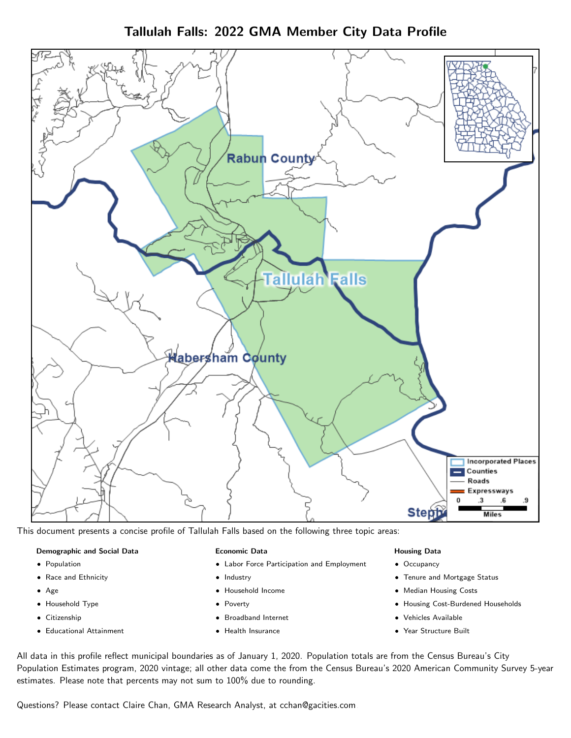Tallulah Falls: 2022 GMA Member City Data Profile



This document presents a concise profile of Tallulah Falls based on the following three topic areas:

#### Demographic and Social Data

- **•** Population
- Race and Ethnicity
- Age
- Household Type
- **Citizenship**
- Educational Attainment

#### Economic Data

- Labor Force Participation and Employment
- Industry
- Household Income
- Poverty
- Broadband Internet
- Health Insurance

#### Housing Data

- Occupancy
- Tenure and Mortgage Status
- Median Housing Costs
- Housing Cost-Burdened Households
- Vehicles Available
- Year Structure Built

All data in this profile reflect municipal boundaries as of January 1, 2020. Population totals are from the Census Bureau's City Population Estimates program, 2020 vintage; all other data come the from the Census Bureau's 2020 American Community Survey 5-year estimates. Please note that percents may not sum to 100% due to rounding.

Questions? Please contact Claire Chan, GMA Research Analyst, at [cchan@gacities.com.](mailto:cchan@gacities.com)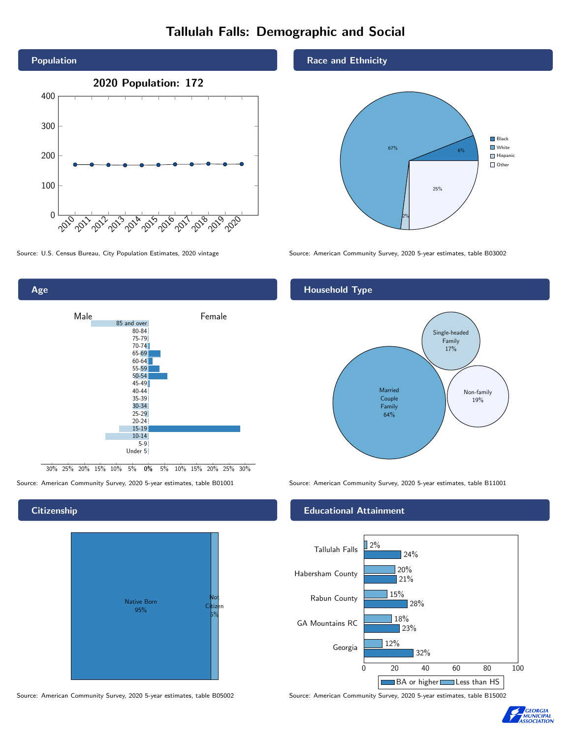# Tallulah Falls: Demographic and Social





0% 5% 10% 15% 20% 25% 30% 30% 25% 20% 15% 10% 5%

#### **Citizenship**



Source: American Community Survey, 2020 5-year estimates, table B05002 Source: American Community Survey, 2020 5-year estimates, table B15002

#### Race and Ethnicity



Source: U.S. Census Bureau, City Population Estimates, 2020 vintage Source: American Community Survey, 2020 5-year estimates, table B03002

#### Household Type



Source: American Community Survey, 2020 5-year estimates, table B01001 Source: American Community Survey, 2020 5-year estimates, table B11001

#### Educational Attainment



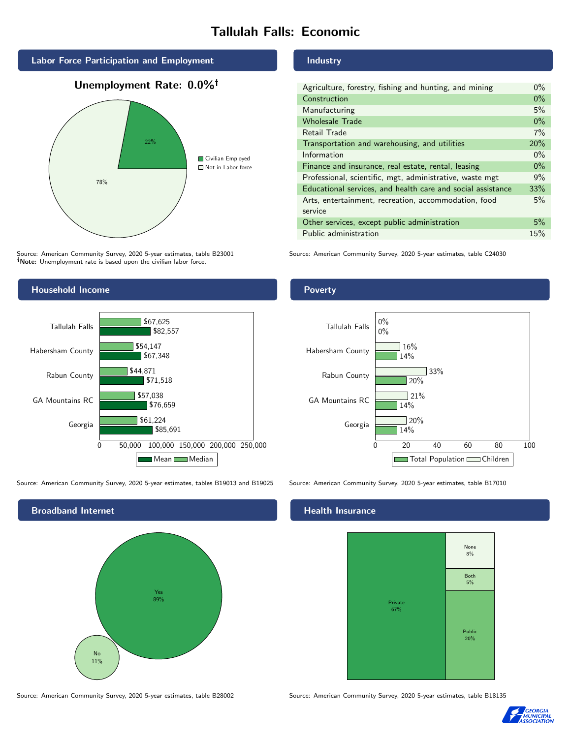## Tallulah Falls: Economic



## Unemployment Rate: 0.0%



Source: American Community Survey, 2020 5-year estimates, table B23001 Note: Unemployment rate is based upon the civilian labor force.

#### Household Income



Source: American Community Survey, 2020 5-year estimates, tables B19013 and B19025 Source: American Community Survey, 2020 5-year estimates, table B17010



Source: American Community Survey, 2020 5-year estimates, table B28002 Source: American Community Survey, 2020 5-year estimates, table B18135

#### Industry

| Agriculture, forestry, fishing and hunting, and mining      | $0\%$ |
|-------------------------------------------------------------|-------|
| Construction                                                | $0\%$ |
| Manufacturing                                               | 5%    |
| <b>Wholesale Trade</b>                                      | $0\%$ |
| Retail Trade                                                | 7%    |
| Transportation and warehousing, and utilities               | 20%   |
| Information                                                 | $0\%$ |
| Finance and insurance, real estate, rental, leasing         | $0\%$ |
| Professional, scientific, mgt, administrative, waste mgt    | 9%    |
| Educational services, and health care and social assistance | 33%   |
| Arts, entertainment, recreation, accommodation, food        | 5%    |
| service                                                     |       |
| Other services, except public administration                | 5%    |
| Public administration                                       | 15%   |

Source: American Community Survey, 2020 5-year estimates, table C24030

#### Poverty



#### Health Insurance